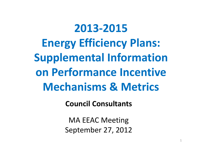# **2013‐2015Energy Efficiency Plans: Supplemental Information on Performance Incentive Mechanisms & Metrics**

**Council Consultants**

MA EEAC Meeting September 27, 2012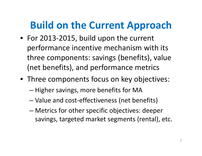# **Build on the Current Approach**

- For 2013‐2015, build upon the current performance incentive mechanism with its three components: savings (benefits), value (net benefits), and performance metrics
- Three components focus on key objectives:
	- –– Higher savings, more benefits for MA
	- –Value and cost‐effectiveness (net benefits)
	- – Metrics for other specific objectives: deeper savings, targeted market segments (rental), etc.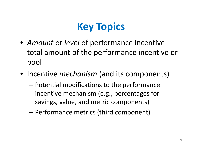# **Key Topics**

- *Amount* or *level* of performance incentive total amount of the performance incentive or pool
- Incentive *mechanism* (and its components)
	- – Potential modifications to the performance incentive mechanism (e.g., percentages for savings, value, and metric components)
	- –Performance metrics (third component)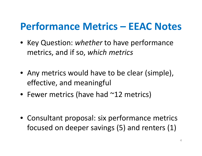### **Performance Metrics – EEAC Notes**

- Key Question: *whether* to have performance metrics, and if so, *which metrics*
- Any metrics would have to be clear (simple), effective, and meaningful
- Fewer metrics (have had ~12 metrics)
- Consultant proposal: six performance metrics focused on deeper savings (5) and renters (1)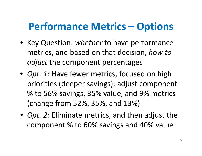## **Performance Metrics – Options**

- Key Question: *whether* to have performance metrics, and based on that decision, *how to adjust* the component percentages
- *Opt. 1:* Have fewer metrics, focused on high priorities (deeper savings); adjust component % to 56% savings, 35% value, and 9% metrics (change from 52%, 35%, and 13%)
- *Opt. 2:* Eliminate metrics, and then adjust the component % to 60% savings and 40% value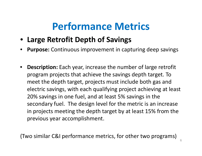- **Large Retrofit Depth of Savings**
- •**Purpose:** Continuous improvement in capturing deep savings
- • **Description:** Each year, increase the number of large retrofit program projects that achieve the savings depth target. To meet the depth target, projects must include both gas and electric savings, with each qualifying project achieving at least 20% savings in one fuel, and at least 5% savings in the secondary fuel. The design level for the metric is an increase in projects meeting the depth target by at least 15% from the previous year accomplishment.

(Two similar C&I performance metrics, for other two programs)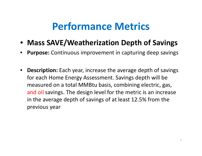- **Mass SAVE/Weatherization Depth of Savings**
- •**Purpose:** Continuous improvement in capturing deep savings
- $\bullet$  **Description:** Each year, increase the average depth of savings for each Home Energy Assessment. Savings depth will be measured on <sup>a</sup> total MMBtu basis, combining electric, gas, and oil savings. The design level for the metric is an increase in the average depth of savings of at least 12.5% from the previous year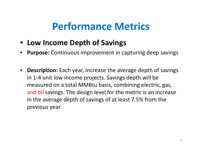- **Low Income Depth of Savings**
- •**Purpose:** Continuous improvement in capturing deep savings
- $\bullet$  **Description:** Each year, increase the average depth of savings in 1‐4 unit low income projects. Savings depth will be measured on <sup>a</sup> total MMBtu basis, combining electric, gas, and oil savings. The design level for the metric is an increase in the average depth of savings of at least 7.5% from the previous year.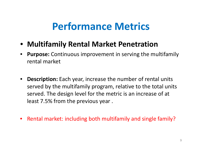- **Multifamily Rental Market Penetration**
- • **Purpose:** Continuous improvement in serving the multifamily rental market
- $\bullet$  **Description:** Each year, increase the number of rental units served by the multifamily program, relative to the total units served. The design level for the metric is an increase of at least 7.5% from the previous year .
- $\bullet$ Rental market: including both multifamily and single family?